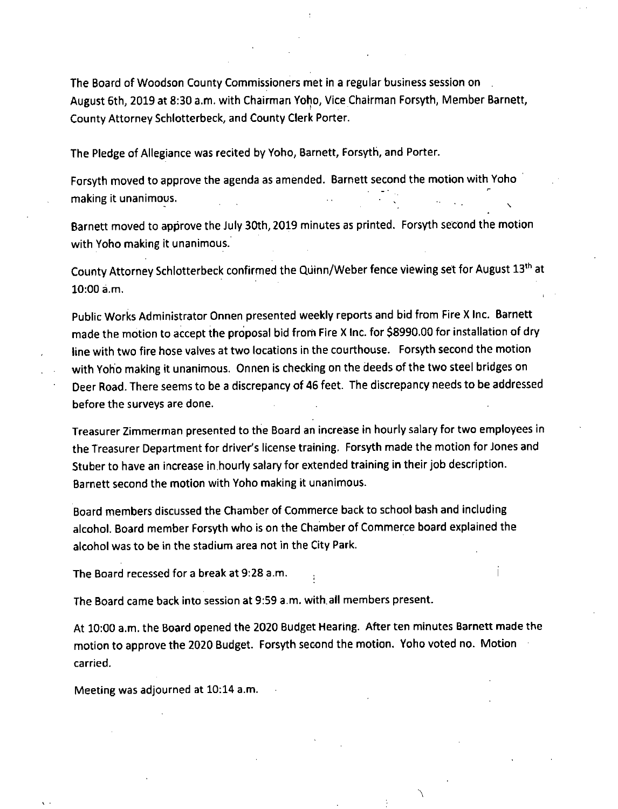The Board of Woodson County Commissioners met in a regular business session on August 6th, 2019 at 8:30 a.m. with Chairman Yoho, Vice Chairman Forsyth, Member Barnett, County Attorney Schlotterbeck, and County Clerk Porter.

The Pledge of Allegiance was recited by Yoho, Barnett, Forsyth, and Porter.

Forsyth moved to approve the agenda as amended. Barnett second the motion with Yoho making it unanimous.

Barnett moved to approve the July 30th, 2019 minutes as printed. Forsyth second the motion with Yoho making it unanimous.

County Attorney Schlotterbeck confirmed the QUinn/Weber fence viewing set for August 13th at 10:00 a.m.

Public Works Administrator Onnen presented weekly reports and bid from Fire X Inc. Barnett made the motion to accept the proposal bid from Fire X Inc. for \$8990.00 for installation of dry line with two fire hose valves at two locations in the courthouse. Forsyth second the motion with Yoho making it unanimous. Onnen is checking on the deeds of the two steel bridges on Deer Road. There seems to be a discrepancy of 46 feet. The discrepancy needs to be addressed before the surveys are done.

Treasurer Zimmerman presented to the Board an increase in hourly salary for two employees in the Treasurer Department for driver's license training. Forsyth made the motion for Jones and Stuber to have an increase in hourly salary for extended training in their job description. Barnett second the motion with Yoho making it unanimous.

Board members discussed the Chamber of Commerce back to school bash and including alcohol. Board member Forsyth who is on the Chamber of Commerce board explained the alcohol was to be in the stadium area not in the City Park.

The Board recessed for a break at 9:28 a.m.

The Board came back into session at 9:59 a.m. with all members present.

At 10:00 a.m. the Board opened the 2020 Budget Hearing. After ten minutes Barnett made the motion to approve the 2020 Budget. Forsyth second the motion. Yoho voted no. Motion carried.

Meeting was adjourned at 10:14 a.m.